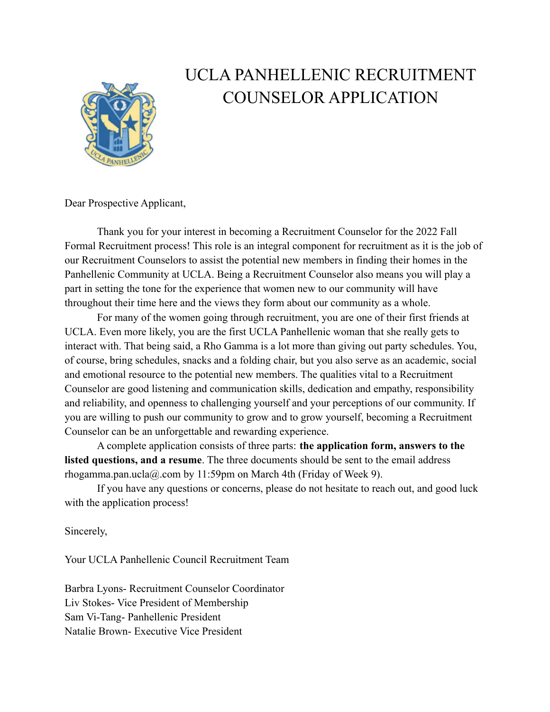

# UCLA PANHELLENIC RECRUITMENT COUNSELOR APPLICATION

Dear Prospective Applicant,

Thank you for your interest in becoming a Recruitment Counselor for the 2022 Fall Formal Recruitment process! This role is an integral component for recruitment as it is the job of our Recruitment Counselors to assist the potential new members in finding their homes in the Panhellenic Community at UCLA. Being a Recruitment Counselor also means you will play a part in setting the tone for the experience that women new to our community will have throughout their time here and the views they form about our community as a whole.

For many of the women going through recruitment, you are one of their first friends at UCLA. Even more likely, you are the first UCLA Panhellenic woman that she really gets to interact with. That being said, a Rho Gamma is a lot more than giving out party schedules. You, of course, bring schedules, snacks and a folding chair, but you also serve as an academic, social and emotional resource to the potential new members. The qualities vital to a Recruitment Counselor are good listening and communication skills, dedication and empathy, responsibility and reliability, and openness to challenging yourself and your perceptions of our community. If you are willing to push our community to grow and to grow yourself, becoming a Recruitment Counselor can be an unforgettable and rewarding experience.

A complete application consists of three parts: **the application form, answers to the listed questions, and a resume**. The three documents should be sent to the email address rhogamma.pan.ucla@.com by 11:59pm on March 4th (Friday of Week 9).

If you have any questions or concerns, please do not hesitate to reach out, and good luck with the application process!

Sincerely,

Your UCLA Panhellenic Council Recruitment Team

Barbra Lyons- Recruitment Counselor Coordinator Liv Stokes- Vice President of Membership Sam Vi-Tang- Panhellenic President Natalie Brown- Executive Vice President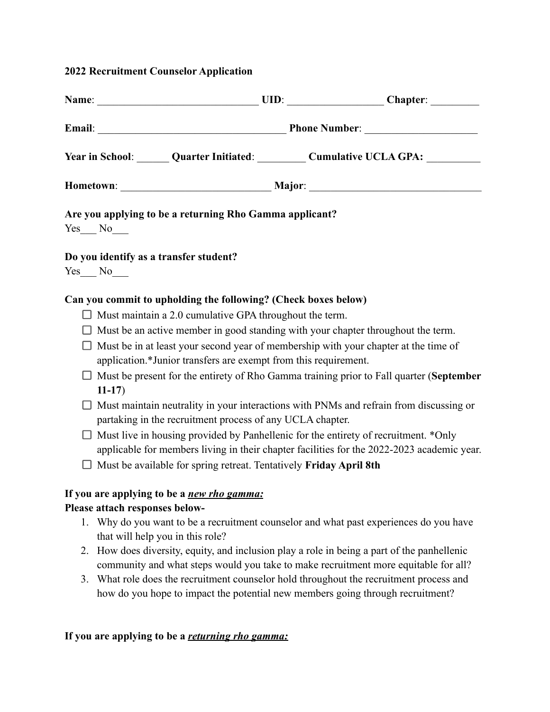## **2022 Recruitment Counselor Application**

|                 | Year in School: Quarter Initiated: Cumulative UCLA GPA: Cumulative UCLA GPA:                                                                                                                                                                                                                                                                                                                                                                                                                                                                                                                                                                                                                                                                                                                                                                                                                              |  |
|-----------------|-----------------------------------------------------------------------------------------------------------------------------------------------------------------------------------------------------------------------------------------------------------------------------------------------------------------------------------------------------------------------------------------------------------------------------------------------------------------------------------------------------------------------------------------------------------------------------------------------------------------------------------------------------------------------------------------------------------------------------------------------------------------------------------------------------------------------------------------------------------------------------------------------------------|--|
|                 |                                                                                                                                                                                                                                                                                                                                                                                                                                                                                                                                                                                                                                                                                                                                                                                                                                                                                                           |  |
| $Yes$ No        | Are you applying to be a returning Rho Gamma applicant?                                                                                                                                                                                                                                                                                                                                                                                                                                                                                                                                                                                                                                                                                                                                                                                                                                                   |  |
| $Yes$ No $\_\_$ | Do you identify as a transfer student?                                                                                                                                                                                                                                                                                                                                                                                                                                                                                                                                                                                                                                                                                                                                                                                                                                                                    |  |
| $11-17)$        | Can you commit to upholding the following? (Check boxes below)<br>$\Box$ Must maintain a 2.0 cumulative GPA throughout the term.<br>$\Box$ Must be an active member in good standing with your chapter throughout the term.<br>$\Box$ Must be in at least your second year of membership with your chapter at the time of<br>application.*Junior transfers are exempt from this requirement.<br>Must be present for the entirety of Rho Gamma training prior to Fall quarter (September<br>Must maintain neutrality in your interactions with PNMs and refrain from discussing or<br>partaking in the recruitment process of any UCLA chapter.<br>Must live in housing provided by Panhellenic for the entirety of recruitment. *Only<br>applicable for members living in their chapter facilities for the 2022-2023 academic year.<br>Must be available for spring retreat. Tentatively Friday April 8th |  |
| 2.              | If you are applying to be a <i>new rho gamma</i> :<br>Please attach responses below-<br>1. Why do you want to be a recruitment counselor and what past experiences do you have<br>that will help you in this role?<br>How does diversity, equity, and inclusion play a role in being a part of the panhellenic<br>community and what steps would you take to make recruitment more equitable for all?                                                                                                                                                                                                                                                                                                                                                                                                                                                                                                     |  |

3. What role does the recruitment counselor hold throughout the recruitment process and how do you hope to impact the potential new members going through recruitment?

# **If you are applying to be a** *returning rho gamma:*